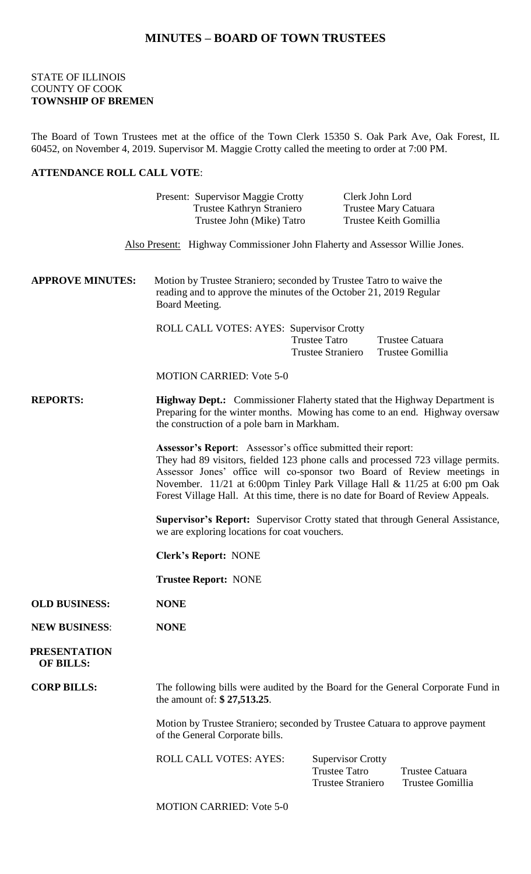## **MINUTES – BOARD OF TOWN TRUSTEES**

## STATE OF ILLINOIS COUNTY OF COOK **TOWNSHIP OF BREMEN**

The Board of Town Trustees met at the office of the Town Clerk 15350 S. Oak Park Ave, Oak Forest, IL 60452, on November 4, 2019. Supervisor M. Maggie Crotty called the meeting to order at 7:00 PM.

## **ATTENDANCE ROLL CALL VOTE**:

|                                         | Present: Supervisor Maggie Crotty<br>Trustee Kathryn Straniero<br>Trustee John (Mike) Tatro                                                                                                                                                                                                                                                                                                        | Clerk John Lord<br><b>Trustee Mary Catuara</b><br>Trustee Keith Gomillia                                                   |
|-----------------------------------------|----------------------------------------------------------------------------------------------------------------------------------------------------------------------------------------------------------------------------------------------------------------------------------------------------------------------------------------------------------------------------------------------------|----------------------------------------------------------------------------------------------------------------------------|
|                                         |                                                                                                                                                                                                                                                                                                                                                                                                    | Also Present: Highway Commissioner John Flaherty and Assessor Willie Jones.                                                |
| <b>APPROVE MINUTES:</b>                 | Motion by Trustee Straniero; seconded by Trustee Tatro to waive the<br>reading and to approve the minutes of the October 21, 2019 Regular<br>Board Meeting.                                                                                                                                                                                                                                        |                                                                                                                            |
|                                         | ROLL CALL VOTES: AYES: Supervisor Crotty                                                                                                                                                                                                                                                                                                                                                           | <b>Trustee Tatro</b><br>Trustee Catuara<br><b>Trustee Straniero</b><br>Trustee Gomillia                                    |
|                                         | <b>MOTION CARRIED: Vote 5-0</b>                                                                                                                                                                                                                                                                                                                                                                    |                                                                                                                            |
| <b>REPORTS:</b>                         | <b>Highway Dept.:</b> Commissioner Flaherty stated that the Highway Department is<br>Preparing for the winter months. Mowing has come to an end. Highway oversaw<br>the construction of a pole barn in Markham.                                                                                                                                                                                    |                                                                                                                            |
|                                         | <b>Assessor's Report:</b> Assessor's office submitted their report:<br>They had 89 visitors, fielded 123 phone calls and processed 723 village permits.<br>Assessor Jones' office will co-sponsor two Board of Review meetings in<br>November. 11/21 at 6:00pm Tinley Park Village Hall & 11/25 at 6:00 pm Oak<br>Forest Village Hall. At this time, there is no date for Board of Review Appeals. |                                                                                                                            |
|                                         | <b>Supervisor's Report:</b> Supervisor Crotty stated that through General Assistance,<br>we are exploring locations for coat vouchers.                                                                                                                                                                                                                                                             |                                                                                                                            |
|                                         | <b>Clerk's Report: NONE</b>                                                                                                                                                                                                                                                                                                                                                                        |                                                                                                                            |
|                                         | <b>Trustee Report: NONE</b>                                                                                                                                                                                                                                                                                                                                                                        |                                                                                                                            |
| <b>OLD BUSINESS:</b>                    | <b>NONE</b>                                                                                                                                                                                                                                                                                                                                                                                        |                                                                                                                            |
| <b>NEW BUSINESS:</b>                    | <b>NONE</b>                                                                                                                                                                                                                                                                                                                                                                                        |                                                                                                                            |
| <b>PRESENTATION</b><br><b>OF BILLS:</b> |                                                                                                                                                                                                                                                                                                                                                                                                    |                                                                                                                            |
| <b>CORP BILLS:</b>                      | The following bills were audited by the Board for the General Corporate Fund in<br>the amount of: \$27,513.25.                                                                                                                                                                                                                                                                                     |                                                                                                                            |
|                                         | of the General Corporate bills.                                                                                                                                                                                                                                                                                                                                                                    | Motion by Trustee Straniero; seconded by Trustee Catuara to approve payment                                                |
|                                         | <b>ROLL CALL VOTES: AYES:</b>                                                                                                                                                                                                                                                                                                                                                                      | <b>Supervisor Crotty</b><br><b>Trustee Tatro</b><br><b>Trustee Catuara</b><br><b>Trustee Straniero</b><br>Trustee Gomillia |
|                                         |                                                                                                                                                                                                                                                                                                                                                                                                    |                                                                                                                            |

MOTION CARRIED: Vote 5-0